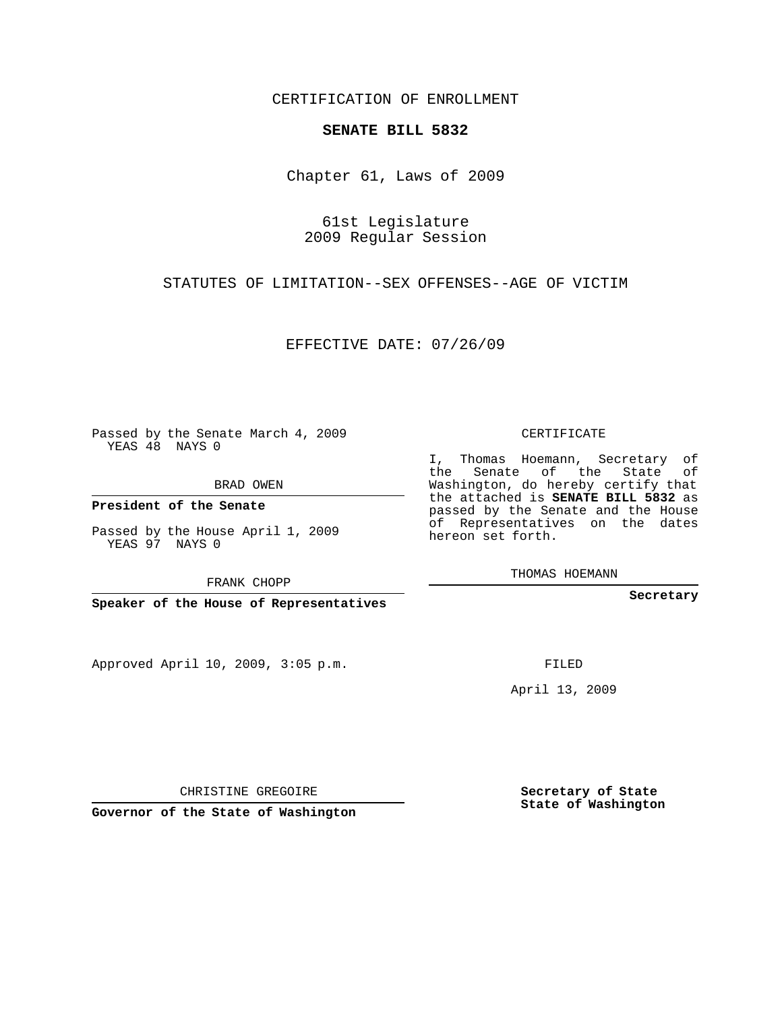CERTIFICATION OF ENROLLMENT

## **SENATE BILL 5832**

Chapter 61, Laws of 2009

61st Legislature 2009 Regular Session

STATUTES OF LIMITATION--SEX OFFENSES--AGE OF VICTIM

EFFECTIVE DATE: 07/26/09

Passed by the Senate March 4, 2009 YEAS 48 NAYS 0

BRAD OWEN

**President of the Senate**

Passed by the House April 1, 2009 YEAS 97 NAYS 0

FRANK CHOPP

**Speaker of the House of Representatives**

Approved April 10, 2009, 3:05 p.m.

CERTIFICATE

I, Thomas Hoemann, Secretary of the Senate of the State of Washington, do hereby certify that the attached is **SENATE BILL 5832** as passed by the Senate and the House of Representatives on the dates hereon set forth.

THOMAS HOEMANN

**Secretary**

FILED

April 13, 2009

CHRISTINE GREGOIRE

**Governor of the State of Washington**

**Secretary of State State of Washington**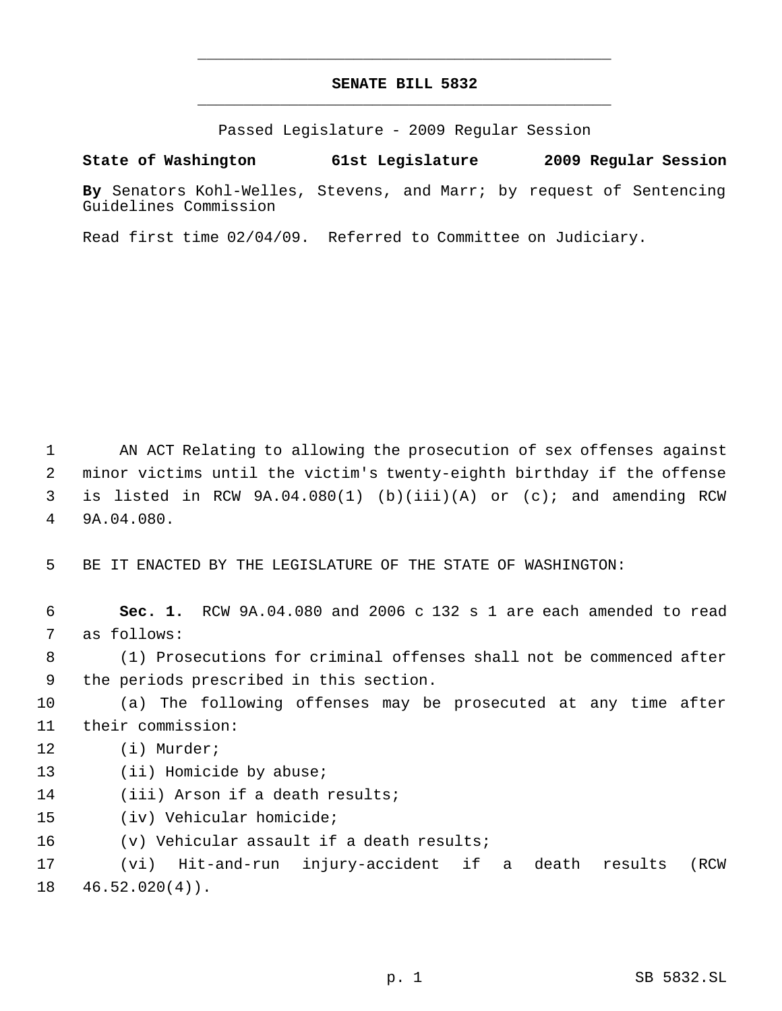## **SENATE BILL 5832** \_\_\_\_\_\_\_\_\_\_\_\_\_\_\_\_\_\_\_\_\_\_\_\_\_\_\_\_\_\_\_\_\_\_\_\_\_\_\_\_\_\_\_\_\_

\_\_\_\_\_\_\_\_\_\_\_\_\_\_\_\_\_\_\_\_\_\_\_\_\_\_\_\_\_\_\_\_\_\_\_\_\_\_\_\_\_\_\_\_\_

Passed Legislature - 2009 Regular Session

**State of Washington 61st Legislature 2009 Regular Session**

**By** Senators Kohl-Welles, Stevens, and Marr; by request of Sentencing Guidelines Commission

Read first time 02/04/09. Referred to Committee on Judiciary.

 AN ACT Relating to allowing the prosecution of sex offenses against minor victims until the victim's twenty-eighth birthday if the offense is listed in RCW 9A.04.080(1) (b)(iii)(A) or (c); and amending RCW 9A.04.080.

BE IT ENACTED BY THE LEGISLATURE OF THE STATE OF WASHINGTON:

 **Sec. 1.** RCW 9A.04.080 and 2006 c 132 s 1 are each amended to read as follows:

 (1) Prosecutions for criminal offenses shall not be commenced after the periods prescribed in this section.

 (a) The following offenses may be prosecuted at any time after their commission:

- (i) Murder;
- 13 (ii) Homicide by abuse;
- (iii) Arson if a death results;
- (iv) Vehicular homicide;

(v) Vehicular assault if a death results;

 (vi) Hit-and-run injury-accident if a death results (RCW 46.52.020(4)).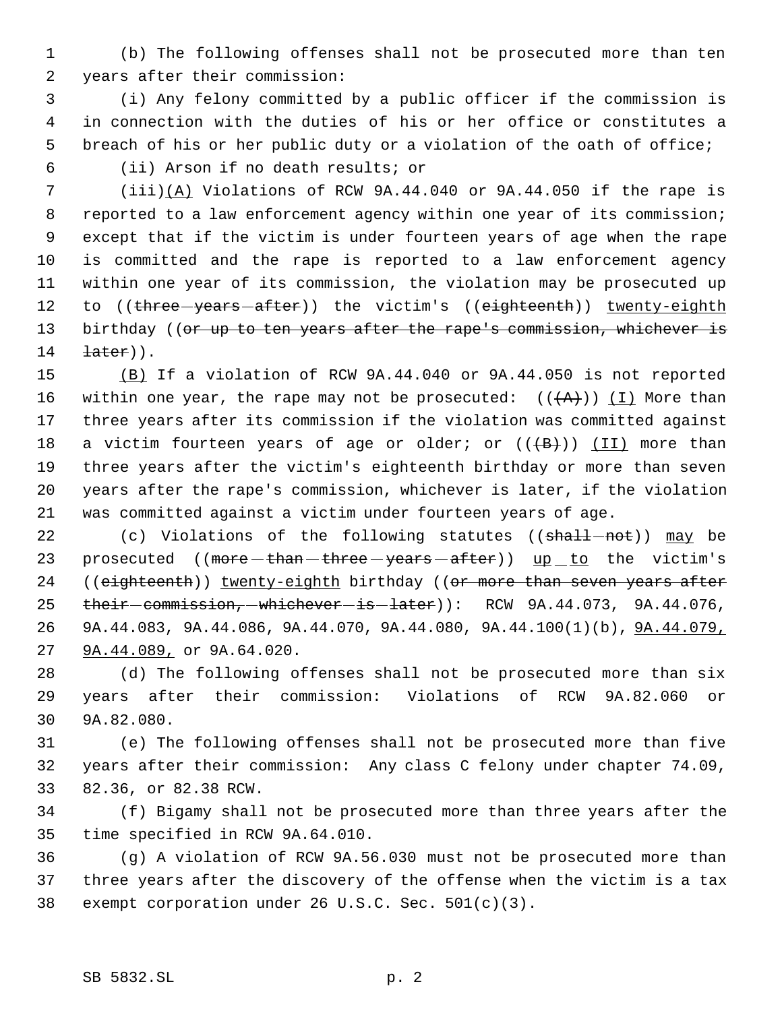(b) The following offenses shall not be prosecuted more than ten years after their commission:

 (i) Any felony committed by a public officer if the commission is in connection with the duties of his or her office or constitutes a breach of his or her public duty or a violation of the oath of office;

(ii) Arson if no death results; or

 (iii)(A) Violations of RCW 9A.44.040 or 9A.44.050 if the rape is reported to a law enforcement agency within one year of its commission; except that if the victim is under fourteen years of age when the rape is committed and the rape is reported to a law enforcement agency within one year of its commission, the violation may be prosecuted up 12 to ((three years after)) the victim's ((eighteenth)) twenty-eighth 13 birthday ((or up to ten years after the rape's commission, whichever is  $\text{later}$ )).

 (B) If a violation of RCW 9A.44.040 or 9A.44.050 is not reported 16 within one year, the rape may not be prosecuted:  $((+A)^2)$  (I) More than three years after its commission if the violation was committed against 18 a victim fourteen years of age or older; or  $((+B))$  (II) more than three years after the victim's eighteenth birthday or more than seven years after the rape's commission, whichever is later, if the violation was committed against a victim under fourteen years of age.

22 (c) Violations of the following statutes ((shall-not)) may be 23 prosecuted ((more than three years after)) up to the victim's 24 ((eighteenth)) twenty-eighth birthday ((or more than seven years after 25 their commission, whichever is later): RCW 9A.44.073, 9A.44.076, 9A.44.083, 9A.44.086, 9A.44.070, 9A.44.080, 9A.44.100(1)(b), 9A.44.079, 9A.44.089, or 9A.64.020.

 (d) The following offenses shall not be prosecuted more than six years after their commission: Violations of RCW 9A.82.060 or 9A.82.080.

 (e) The following offenses shall not be prosecuted more than five years after their commission: Any class C felony under chapter 74.09, 82.36, or 82.38 RCW.

 (f) Bigamy shall not be prosecuted more than three years after the time specified in RCW 9A.64.010.

 (g) A violation of RCW 9A.56.030 must not be prosecuted more than three years after the discovery of the offense when the victim is a tax exempt corporation under 26 U.S.C. Sec. 501(c)(3).